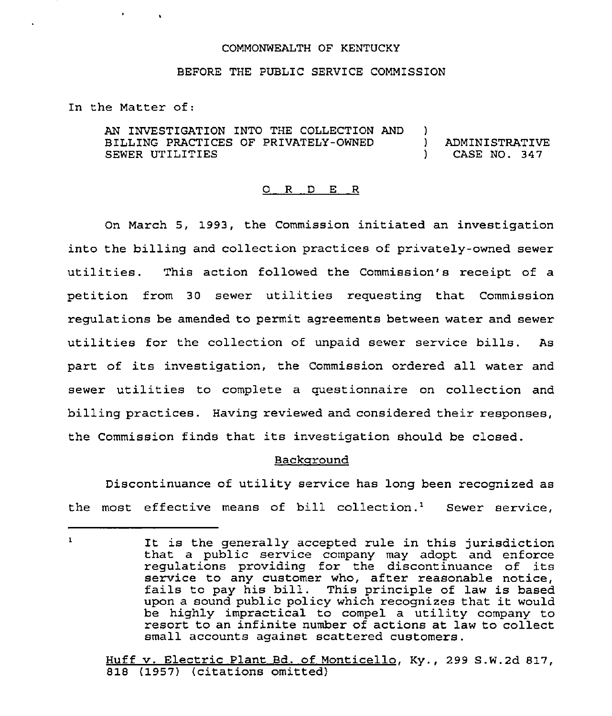#### COMMONWEALTH OF KENTUCKY

# BEFORE THE PUBLIC SERVICE COMMISSION

In the Matter of:

**Contract Street** 

AN INVESTIGATION INTO THE COLLECTION AND )<br>BILLING PRACTICES OF PRIVATELY-OWNED ) BILLING PRACTICES OF PRIVATELY-OWNED )<br>SEWER UTILITIES SEWER UTILITIES ADMINISTRATIVE CASE NO. 347

### 0 <sup>R</sup> <sup>D</sup> E <sup>R</sup>

On March 5, 1993, the Commission initiated an investigation into the billing and collection practices of privately-owned sewer utilities. This action followed the Commission's receipt of <sup>a</sup> petition from 30 sewer utilities requesting that Commission regulations be amended to permit agreements between water and sewer utilities for the collection of unpaid sewer service bills. As part of its investigation, the Commission ordered all water and sewer utilities to complete <sup>a</sup> cuestionnaire on collection and billing practices. Having reviewed and considered their responses, the Commission finds that its investigation should be closed.

# Backaround

Discontinuance of utility service has long been recognized as the most effective means of bill collection.<sup>1</sup> Sewer service,

 $\mathbf 1$ It is the generally accepted rule in this jurisdiction that a public service company may adopt and enforce regulations providing for the discontinuance of its service to any customer who, after reasonable notice, fails to pay his bill. This principle of law is based upon <sup>a</sup> sound public policy which recognizes that it would be highly impractical to compel a utility company to resort to an infinite number of actions at law to collect small accounts against scattered customers.

Huff v. Electric Plant Bd. of Monticello, Ky., 299 S.W.2d 817, 818 (1957) (citations omitted}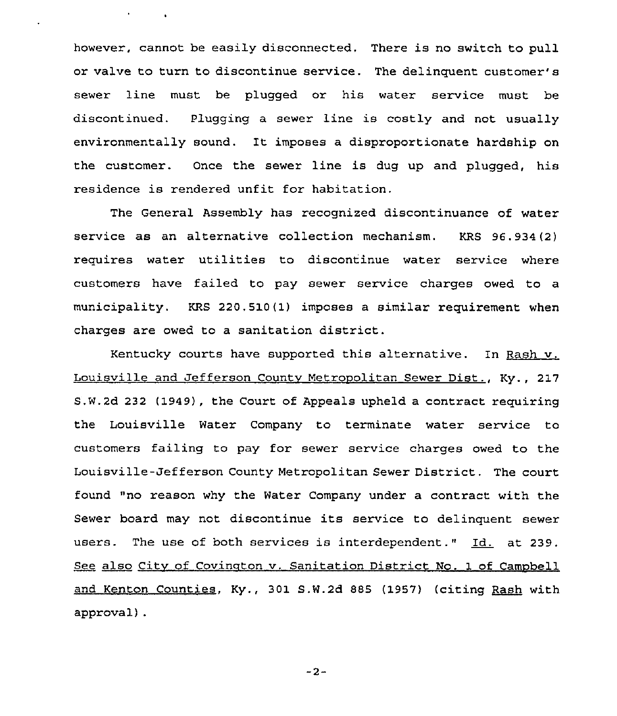however, cannot be easily disconnected, There is no switch to pull or valve to turn to discontinue service. The delinquent customer' sewer line must be plugged or his water service must be discontinued. Plugging a sewer line is costly and not usually environmentally sound. It imposes a disproportionate hardship on the customer. Once the sewer line is dug up and plugged, his residence is rendered unfit for habitation.

 $\sigma_{\rm{max}}=0.01$ 

The General Assembly has recognized discontinuance of water service as an alternative collection mechanism. KRS 96.934(2) requires water utilities to discontinue water service where customers have failed to pay sewer service charges owed to a municipality. KRS 220.510(1) imposes a similar requirement when charges are owed to a sanitation district.

Kentucky courts have supported this alternative. In Rash v. Louisville and Jefferson Countv Metrooolitan Sewer Dist., Ky., 217 S,W.2d 232 (1949), the Court of Appeals upheld a contract requiring the Louisville Water Company to terminate water service to customers failing to pay for sewer service charges owed to the Louisville-Jefferson County Metropolitan Sewer District. The court found "no reason why the Water Company under a contract with the Sewer board may not discontinue its service to delinquent sewer users. The use of both services is interdependent." Id. at 239. See also City of Covington v. Sanitation District No. 1 of Campbell and Kenton Counties, Ky., 301 S.W.2d 885 (1957) (citing Raah with approval).

 $-2-$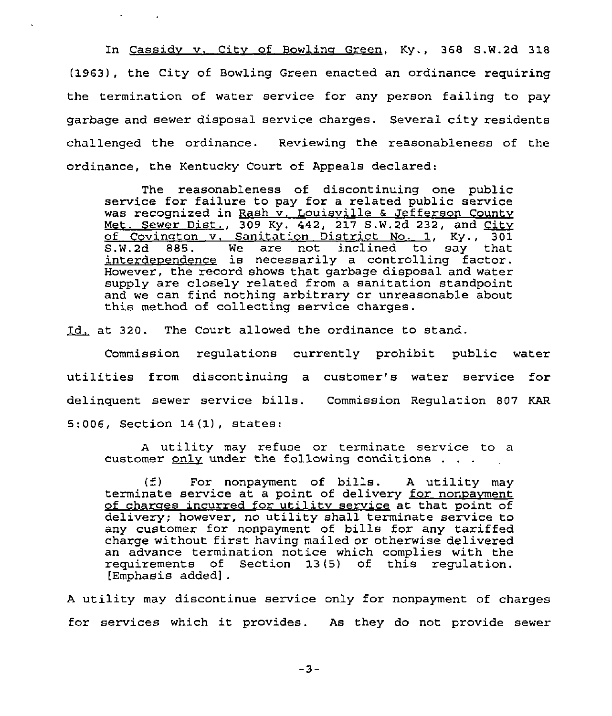In Cassidv v. Citv of Bowline Green, Ky., 368 S.W.2d 318 (1963), the City of Bowling Green enacted an ordinance requiring the termination of water service for any person failing to pay garbage and sewer disposal service charges. Several city residents challenged the ordinance. Reviewing the reasonableness of the ordinance, the Kentucky Court of Appeals declared:

 $\mathbf{A}$  and  $\mathbf{A}$  and  $\mathbf{A}$ 

The reasonableness of discontinuing one public service for failure to pay for a related public service was recognized in Rash v. Louisville & Jefferson County Met. Sewer Dist., 309 Ky. 442, 217 S.W.2d 232, and  $City$ of Covington v. Sanitation District No. 1, Ky., 301<br>S.W.2d 885. We are not inclined to say that  $We are not inclined to$ interdependence is necessarily a controlling factor. However, the record shows that garbage disposal and water supply are closely related from a sanitation standpoint and we can find nothing arbitrary or unreasonable about this method of collecting service charges.

Id. at 320. The Court allowed the ordinance to stand.

Commission regulations currently prohibit public water utilities from discontinuing a customer's water service for delinquent sewer service bills. Commission Regulation 807 KAR 5:006, Section 14(1), states:

<sup>A</sup> utility may refuse or terminate service to a customer  $_{\text{only}}$  under the following conditions . . .

(f) For nonpayment of bills. <sup>A</sup> utility may terminate service at a point of delivery for nonpayment of charges incurred for utility service at that point of delivery; however, no utility shall terminate service to any customer for nonpayment of bills for any tariffed charge without first having mailed or otherwise delivered an advance termination notice which complies with the requirements of Section 13(5) of this regulation. [Emphasis added].

<sup>A</sup> utility may discontinue service only for nonpayment of charges for services which it provides. As they do not provide sewer

 $-3-$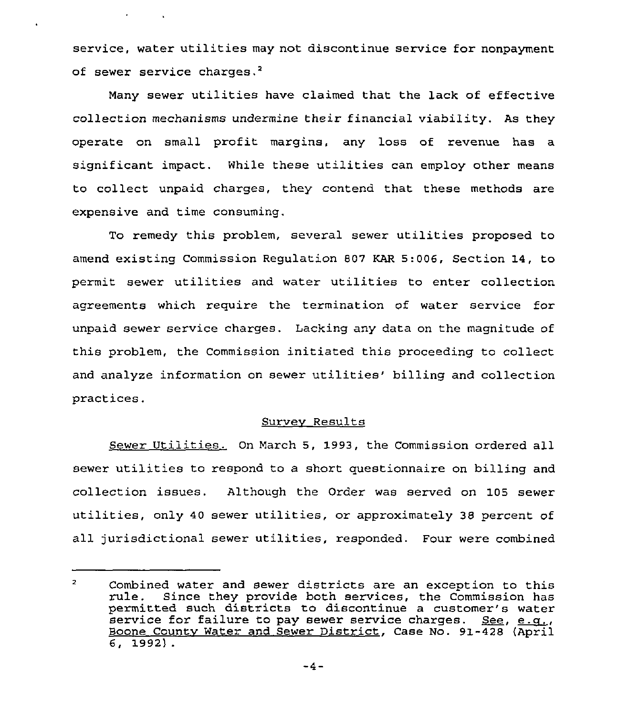service, water utilities may not discontinue service for nonpayment of sewer service charges.<sup>2</sup>

 $\mathcal{L}^{\text{max}}(\mathcal{L}^{\text{max}})$  . The  $\mathcal{L}^{\text{max}}$ 

Many sewer utilities have claimed that the lack of effective collection mechanisms undermine their financial viability. As they operate on small profit margins, any loss of revenue has a significant impact. While these utilities can employ other means to collect unpaid charges, they contend that these methods are expensive and time consuming.

To remedy this problem, several sewer utilities proposed to amend existing Commission Regulation 807 KAR 5:006, Section 14, to permit sewer utilities and water utilities to enter collection agreements which require the termination of water service for unpaid sewer service charges. Lacking any data on the magnitude of this problem, the Commission initiated this proceeding to collect and analyze information on sewer utilities' billing and collection practices.

# Survev Results

Sewer Utilities. On March 5, 1993, the Commission ordered all sewer utilities to respond to a short questionnaire on billing and collection issues. Although the Order was served on 105 sewer utilities, only <sup>40</sup> sewer utilities, or approximately 38 percent of all jurisdictional sewer utilities, responded. Four were combined

 $\overline{2}$ Combined water and sewer districts are an exception to this rule. Since they provide both services, the Commission has permitted such districts to discontinue a customer's water  $s$ ervice for failure to pay sewer service charges. See, e.g., Boone Countv Water and Sewer District, Case No. 91-428 (April 6, 1992) .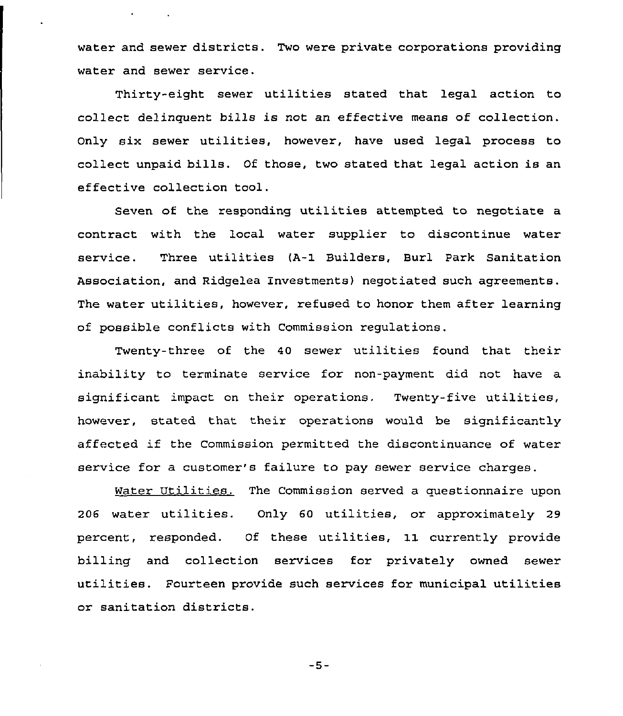water and sewer districts. Two were private corporations providing water and sewer service.

Thirty-eight sewer utilities stated that legal action to collect delinquent bills is not an effective means of collection. Only six sewer utilities, however, have used legal process 'to collect unpaid bills. Of those, two stated that legal action is an effective collection tool.

Seven of the responding utilities attempted to negotiate <sup>a</sup> contract with the local water supplier to discontinue water service. Three utilities (A-1 Builders, Burl Park Sanitation Association, and Ridgelea Investments) negotiated such agreements. The water utilities, however, refused to honor them after learning of possible conflicts with Commission regulations.

Twenty-three of the 40 sewer utilities found that their inability to terminate service for non-payment did not have a significant impact on their operations. Twenty-five utilities, however, stated that their operations would be significantly affected if the Commission permitted the discontinuance of water service for a customer's failure to pay sewer service charges.

Water Utilities. The Commission served a questionnaire upon <sup>206</sup> water utilities. Only <sup>60</sup> utilities, or approximately <sup>29</sup> percent, responded. Of these utilities, 11 currently provide billing and collection services for privately owned sewer utilities. Fourteen provide such services for municipal utilities or sanitation districts.

 $-5-$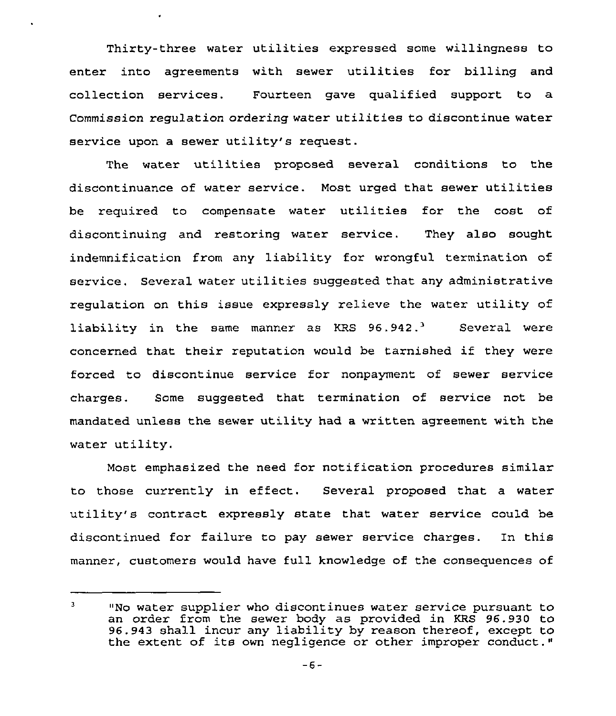Thirty-three water utilities expressed some willingness to enter into agreements with sewer utilities for billing and collection services. Fourteen gave qualified support to a Commission regulation ordering water utilities to discontinue water service upon a sewer utility's request.

 $\overline{a}$ 

The water utilities proposed several conditions to the discontinuance of water service. Most urged that sewer utilities be required to compensate water utilities for the cost of discontinuing and restoring water service. They also sought indemnification from any liability for wrongful termination of service. Several water utilities suggested that any administrative regulation on this issue expressly relieve the water utility of liability in the same manner as KRS  $96.942.^3$  Several were concerned that their reputation would be tarnished if they were forced to discontinue service for nonpayment of sewer service charges. Some suggested that termination of service not be mandated unless the sewer utility had a written agreement with the water utility.

Most emphasized the need for notification procedures similar to those currently in effect. Several proposed that a water utility's contract expressly state that water service could be discontinued for failure to pay sewer service charges. In this manner, customers would have full knowledge of the consequences of

 $\overline{3}$ "No water supplier who discontinues water service pursuant to an order from the sewer body as provided in KRS 96.930 to 96.943 shall incur any liability by reason thereof, except to the extent of its own negligence or other improper conduct."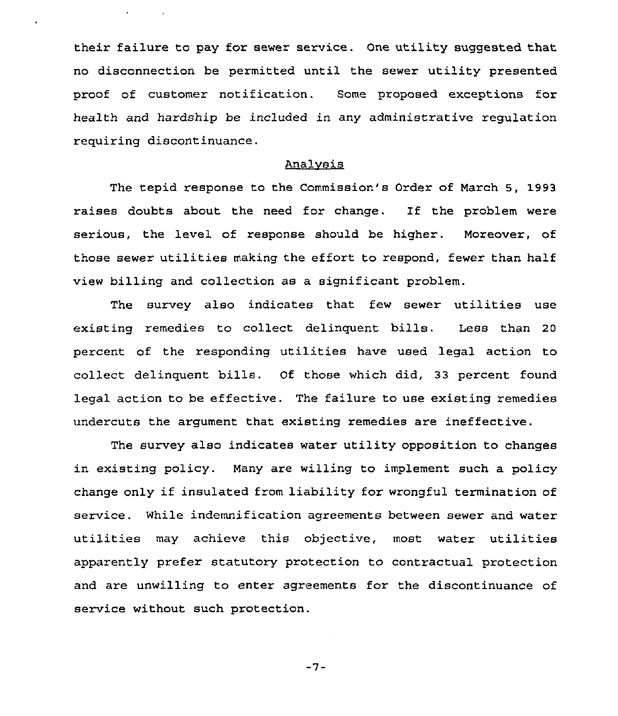their failure to pay for sewer service. One utility suggested that no disconnection be permitted until the sewer utility presented proof of customer notification. Some proposed exceptions for health and hardship be included in any administrative regulation requiring discontinuance.

# Analvsis

The tepid response to the Commission's Order of March 3, 1993 raises doubts about the need for change. If the problem were serious, the level of response should be higher. Moreover, of those sewer utilities making the effort to respond, fewer than half view billing and collection as a significant problem.

The survey also indicates that few sewer utilities use existing remedies to collect delinquent bills. Less than <sup>20</sup> percent of the responding utilities have used legal action to collect delinquent bills. Of those which did, 33 percent found legal action to be effective. The failure to use existing remedies undercuts the argument that existing remedies are ineffective.

The survey also indicates water utility opposition to changes in existing policy. Many are willing to implement such a policy change only if insulated from liability for wrongful termination of service. While indemnification agreements between sewer and water utilities may achieve this objective, most water utilities apparently prefer statutory protection to contractual protection and are unwilling to enter agreements for the discontinuance of service without such protection.

 $-7-$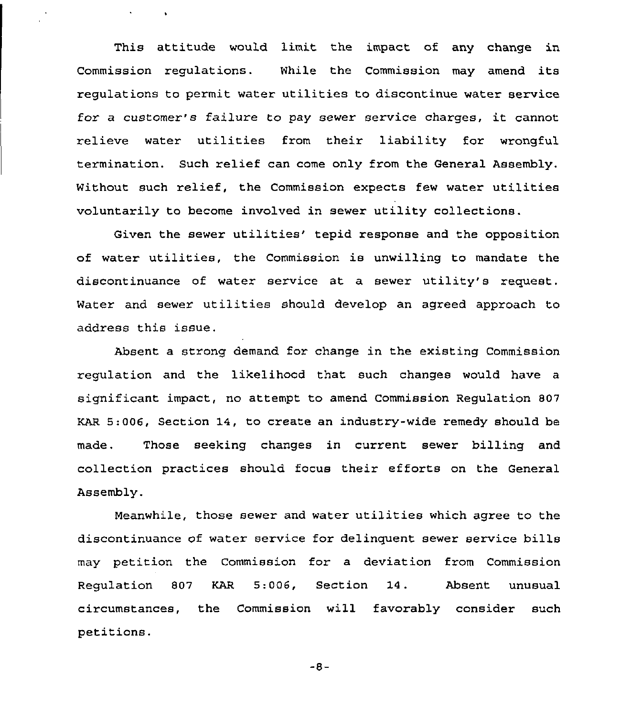This attitude would limit the impact of any change in Commission regulations. While the Commission may amend its regulations to permit water utilities to discontinue water service for <sup>a</sup> customer's failure to pay sewer service charges, it cannot relieve water utilities from their liability for wrongful termination. Such relief can come only from the General Assembly. Without such relief, the Commission expects few water utilities voluntarily to become involved in sewer utility collections.

 $\bullet$ 

Given the sewer utilities' tepid response and the opposition of water utilities, the Commission is unwilling to mandate the discontinuance of water service at a sewer utility's request. Water and sewer utilities should develop an agreed approach to address this issue.

Absent a strong demand for change in the existing Commission regulation and the likelihood that such changes would have a significant impact, no attempt to amend Commission Regulation 807 KAR 5:006, Section 14, to create an industry-wide remedy should be made, Those seeking changes in current sewer billing and collection practices should focus their efforts on the General Assembly.

Meanwhile, those sewer and water utilities which agree to the discontinuance of water service for delinquent sewer service bills may petition the Commission for a deviation from Commission Regulation 807 KAR 5:006, Section 14. Absent unusual circumstances, the Commission will favorably consider such petitions.

 $-8-$